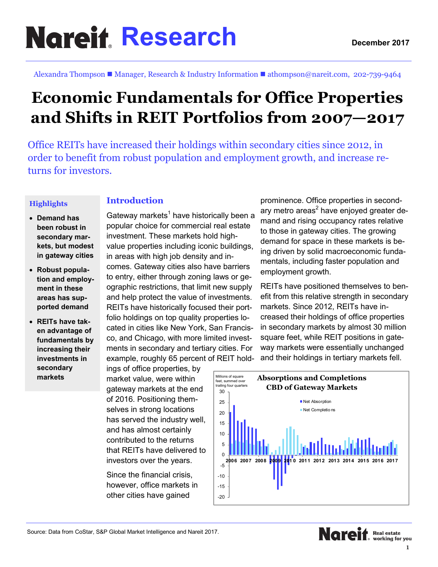# **Research**

Alexandra Thompson ■ Manager, Research & Industry Information ■ athompson@nareit.com, 202-739-9464

# **Economic Fundamentals for Office Properties and Shifts in REIT Portfolios from 2007—2017**

Office REITs have increased their holdings within secondary cities since 2012, in order to benefit from robust population and employment growth, and increase returns for investors.

#### **Highlights**

### **Introduction**

- **Demand has been robust in secondary markets, but modest in gateway cities**
- **Robust population and employment in these areas has supported demand**
- **REITs have taken advantage of fundamentals by increasing their investments in secondary markets**

Gateway markets $^{\rm 1}$  have historically been a popular choice for commercial real estate investment. These markets hold highvalue properties including iconic buildings, in areas with high job density and incomes. Gateway cities also have barriers to entry, either through zoning laws or geographic restrictions, that limit new supply and help protect the value of investments. REITs have historically focused their portfolio holdings on top quality properties located in cities like New York, San Francisco, and Chicago, with more limited investments in secondary and tertiary cities. For example, roughly 65 percent of REIT hold-

ings of office properties, by market value, were within gateway markets at the end of 2016. Positioning themselves in strong locations has served the industry well, and has almost certainly contributed to the returns that REITs have delivered to investors over the years.

Since the financial crisis, however, office markets in other cities have gained

prominence. Office properties in secondary metro areas<sup>2</sup> have enjoyed greater demand and rising occupancy rates relative to those in gateway cities. The growing demand for space in these markets is being driven by solid macroeconomic fundamentals, including faster population and employment growth.

REITs have positioned themselves to benefit from this relative strength in secondary markets. Since 2012, REITs have increased their holdings of office properties in secondary markets by almost 30 million square feet, while REIT positions in gateway markets were essentially unchanged and their holdings in tertiary markets fell.

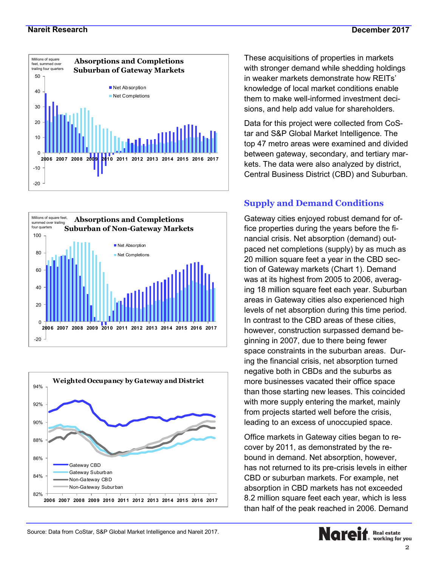





These acquisitions of properties in markets with stronger demand while shedding holdings in weaker markets demonstrate how REITs' knowledge of local market conditions enable them to make well-informed investment decisions, and help add value for shareholders.

Data for this project were collected from CoStar and S&P Global Market Intelligence. The top 47 metro areas were examined and divided between gateway, secondary, and tertiary markets. The data were also analyzed by district, Central Business District (CBD) and Suburban.

# **Supply and Demand Conditions**

Gateway cities enjoyed robust demand for office properties during the years before the financial crisis. Net absorption (demand) outpaced net completions (supply) by as much as 20 million square feet a year in the CBD section of Gateway markets (Chart 1). Demand was at its highest from 2005 to 2006, averaging 18 million square feet each year. Suburban areas in Gateway cities also experienced high levels of net absorption during this time period. In contrast to the CBD areas of these cities, however, construction surpassed demand beginning in 2007, due to there being fewer space constraints in the suburban areas. During the financial crisis, net absorption turned negative both in CBDs and the suburbs as more businesses vacated their office space than those starting new leases. This coincided with more supply entering the market, mainly from projects started well before the crisis, leading to an excess of unoccupied space.

Office markets in Gateway cities began to recover by 2011, as demonstrated by the rebound in demand. Net absorption, however, has not returned to its pre-crisis levels in either CBD or suburban markets. For example, net absorption in CBD markets has not exceeded 8.2 million square feet each year, which is less than half of the peak reached in 2006. Demand

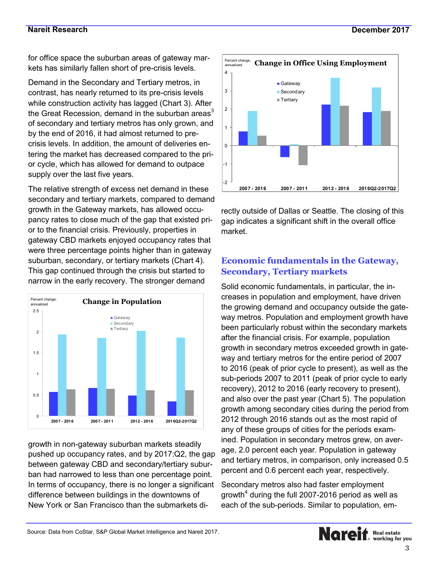#### **Nareit Research**

for office space the suburban areas of gateway markets has similarly fallen short of pre-crisis levels.

Demand in the Secondary and Tertiary metros, in contrast, has nearly returned to its pre-crisis levels while construction activity has lagged (Chart 3). After the Great Recession, demand in the suburban areas $3$ of secondary and tertiary metros has only grown, and by the end of 2016, it had almost returned to precrisis levels. In addition, the amount of deliveries entering the market has decreased compared to the prior cycle, which has allowed for demand to outpace supply over the last five years.

The relative strength of excess net demand in these secondary and tertiary markets, compared to demand growth in the Gateway markets, has allowed occupancy rates to close much of the gap that existed prior to the financial crisis. Previously, properties in gateway CBD markets enjoyed occupancy rates that were three percentage points higher than in gateway suburban, secondary, or tertiary markets (Chart 4). This gap continued through the crisis but started to narrow in the early recovery. The stronger demand



growth in non-gateway suburban markets steadily pushed up occupancy rates, and by 2017:Q2, the gap between gateway CBD and secondary/tertiary suburban had narrowed to less than one percentage point. In terms of occupancy, there is no longer a significant difference between buildings in the downtowns of New York or San Francisco than the submarkets di-



rectly outside of Dallas or Seattle. The closing of this gap indicates a significant shift in the overall office market.

# **Economic fundamentals in the Gateway, Secondary, Tertiary markets**

Solid economic fundamentals, in particular, the increases in population and employment, have driven the growing demand and occupancy outside the gateway metros. Population and employment growth have been particularly robust within the secondary markets after the financial crisis. For example, population growth in secondary metros exceeded growth in gateway and tertiary metros for the entire period of 2007 to 2016 (peak of prior cycle to present), as well as the sub-periods 2007 to 2011 (peak of prior cycle to early recovery), 2012 to 2016 (early recovery to present), and also over the past year (Chart 5). The population growth among secondary cities during the period from 2012 through 2016 stands out as the most rapid of any of these groups of cities for the periods examined. Population in secondary metros grew, on average, 2.0 percent each year. Population in gateway and tertiary metros, in comparison, only increased 0.5 percent and 0.6 percent each year, respectively.

Secondary metros also had faster employment growth $^4$  during the full 2007-2016 period as well as each of the sub-periods. Similar to population, em-

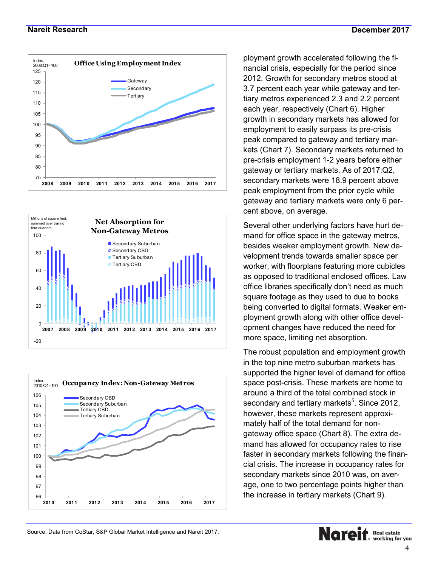#### **Nareit Research**







ployment growth accelerated following the financial crisis, especially for the period since 2012. Growth for secondary metros stood at 3.7 percent each year while gateway and tertiary metros experienced 2.3 and 2.2 percent each year, respectively (Chart 6). Higher growth in secondary markets has allowed for employment to easily surpass its pre-crisis peak compared to gateway and tertiary markets (Chart 7). Secondary markets returned to pre-crisis employment 1-2 years before either gateway or tertiary markets. As of 2017:Q2, secondary markets were 18.9 percent above peak employment from the prior cycle while gateway and tertiary markets were only 6 percent above, on average.

Several other underlying factors have hurt demand for office space in the gateway metros, besides weaker employment growth. New development trends towards smaller space per worker, with floorplans featuring more cubicles as opposed to traditional enclosed offices. Law office libraries specifically don't need as much square footage as they used to due to books being converted to digital formats. Weaker employment growth along with other office development changes have reduced the need for more space, limiting net absorption.

The robust population and employment growth in the top nine metro suburban markets has supported the higher level of demand for office space post-crisis. These markets are home to around a third of the total combined stock in secondary and tertiary markets $^5$ . Since 2012, however, these markets represent approximately half of the total demand for nongateway office space (Chart 8). The extra demand has allowed for occupancy rates to rise faster in secondary markets following the financial crisis. The increase in occupancy rates for secondary markets since 2010 was, on average, one to two percentage points higher than the increase in tertiary markets (Chart 9).



Source: Data from CoStar, S&P Global Market Intelligence and Nareit 2017.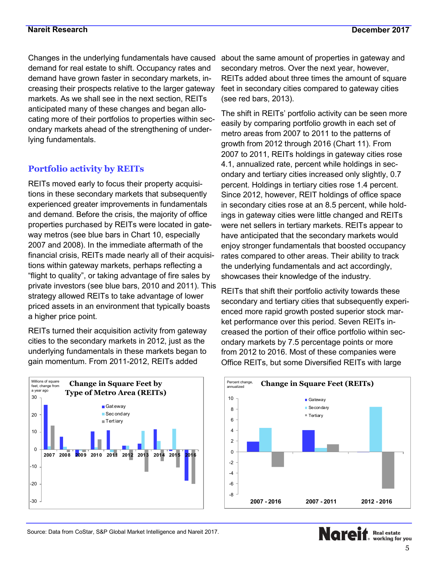Changes in the underlying fundamentals have caused demand for real estate to shift. Occupancy rates and demand have grown faster in secondary markets, increasing their prospects relative to the larger gateway markets. As we shall see in the next section, REITs anticipated many of these changes and began allocating more of their portfolios to properties within secondary markets ahead of the strengthening of underlying fundamentals.

# **Portfolio activity by REITs**

REITs moved early to focus their property acquisitions in these secondary markets that subsequently experienced greater improvements in fundamentals and demand. Before the crisis, the majority of office properties purchased by REITs were located in gateway metros (see blue bars in Chart 10, especially 2007 and 2008). In the immediate aftermath of the financial crisis, REITs made nearly all of their acquisitions within gateway markets, perhaps reflecting a "flight to quality", or taking advantage of fire sales by private investors (see blue bars, 2010 and 2011). This strategy allowed REITs to take advantage of lower priced assets in an environment that typically boasts a higher price point.

REITs turned their acquisition activity from gateway cities to the secondary markets in 2012, just as the underlying fundamentals in these markets began to gain momentum. From 2011-2012, REITs added



about the same amount of properties in gateway and secondary metros. Over the next year, however, REITs added about three times the amount of square feet in secondary cities compared to gateway cities (see red bars, 2013).

The shift in REITs' portfolio activity can be seen more easily by comparing portfolio growth in each set of metro areas from 2007 to 2011 to the patterns of growth from 2012 through 2016 (Chart 11). From 2007 to 2011, REITs holdings in gateway cities rose 4.1, annualized rate, percent while holdings in secondary and tertiary cities increased only slightly, 0.7 percent. Holdings in tertiary cities rose 1.4 percent. Since 2012, however, REIT holdings of office space in secondary cities rose at an 8.5 percent, while holdings in gateway cities were little changed and REITs were net sellers in tertiary markets. REITs appear to have anticipated that the secondary markets would enjoy stronger fundamentals that boosted occupancy rates compared to other areas. Their ability to track the underlying fundamentals and act accordingly, showcases their knowledge of the industry.

REITs that shift their portfolio activity towards these secondary and tertiary cities that subsequently experienced more rapid growth posted superior stock market performance over this period. Seven REITs increased the portion of their office portfolio within secondary markets by 7.5 percentage points or more from 2012 to 2016. Most of these companies were Office REITs, but some Diversified REITs with large